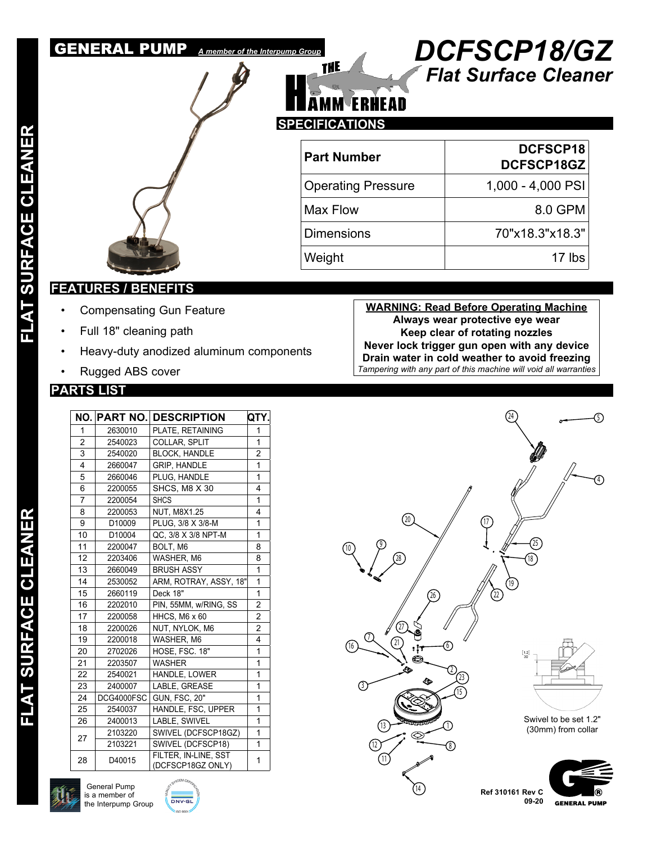

### *Flat Surface Cleaner* GENERAL PUMP *A member of the Interpump Group DCFSCP18/GZ*



| <b>Part Number</b>        | DCFSCP18<br><b>DCFSCP18GZ</b> |
|---------------------------|-------------------------------|
| <b>Operating Pressure</b> | 1,000 - 4,000 PSI             |
| Max Flow                  | 8.0 GPM                       |
| <b>Dimensions</b>         | 70"x18.3"x18.3"               |
| Weight                    | 17 lbs                        |

### **FEATURES / BENEFITS**

- Compensating Gun Feature
- Full 18" cleaning path
- Heavy-duty anodized aluminum components
- Rugged ABS cover

### **PARTS LIST**

| NO. |            | <b>PART NO. DESCRIPTION</b>               | QTY.           |
|-----|------------|-------------------------------------------|----------------|
| 1   | 2630010    | PLATE, RETAINING                          | 1              |
| 2   | 2540023    | COLLAR, SPLIT                             | 1              |
| 3   | 2540020    | <b>BLOCK, HANDLE</b>                      | $\overline{2}$ |
| 4   | 2660047    | <b>GRIP, HANDLE</b>                       | 1              |
| 5   | 2660046    | PLUG, HANDLE                              | 1              |
| 6   | 2200055    | SHCS, M8 X 30                             | 4              |
| 7   | 2200054    | <b>SHCS</b>                               | 1              |
| 8   | 2200053    | <b>NUT, M8X1.25</b>                       | 4              |
| 9   | D10009     | PLUG, 3/8 X 3/8-M                         | 1              |
| 10  | D10004     | QC, 3/8 X 3/8 NPT-M                       | 1              |
| 11  | 2200047    | BOLT, M6                                  | 8              |
| 12  | 2203406    | WASHER, M6                                | 8              |
| 13  | 2660049    | <b>BRUSH ASSY</b>                         | 1              |
| 14  | 2530052    | ARM, ROTRAY, ASSY, 18"                    | 1              |
| 15  | 2660119    | Deck 18"                                  | 1              |
| 16  | 2202010    | PIN, 55MM, w/RING, SS                     | 2              |
| 17  | 2200058    | HHCS, M6 x 60                             | $\overline{2}$ |
| 18  | 2200026    | NUT, NYLOK, M6                            | $\overline{2}$ |
| 19  | 2200018    | WASHER, M6                                | 4              |
| 20  | 2702026    | HOSE, FSC. 18"                            | 1              |
| 21  | 2203507    | <b>WASHER</b>                             | 1              |
| 22  | 2540021    | <b>HANDLE, LOWER</b>                      | 1              |
| 23  | 2400007    | LABLE, GREASE                             | 1              |
| 24  | DCG4000FSC | <b>GUN, FSC, 20"</b>                      | 1              |
| 25  | 2540037    | HANDLE, FSC, UPPER                        | 1              |
| 26  | 2400013    | LABLE, SWIVEL                             | 1              |
| 27  | 2103220    | SWIVEL (DCFSCP18GZ)                       | 1              |
|     | 2103221    | SWIVEL (DCFSCP18)                         | 1              |
| 28  | D40015     | FILTER, IN-LINE, SST<br>(DCFSCP18GZ ONLY) | 1              |

**WARNING: Read Before Operating Machine Always wear protective eye wear Keep clear of rotating nozzles Never lock trigger gun open with any device Drain water in cold weather to avoid freezing** *Tampering with any part of this machine will void all warranties*





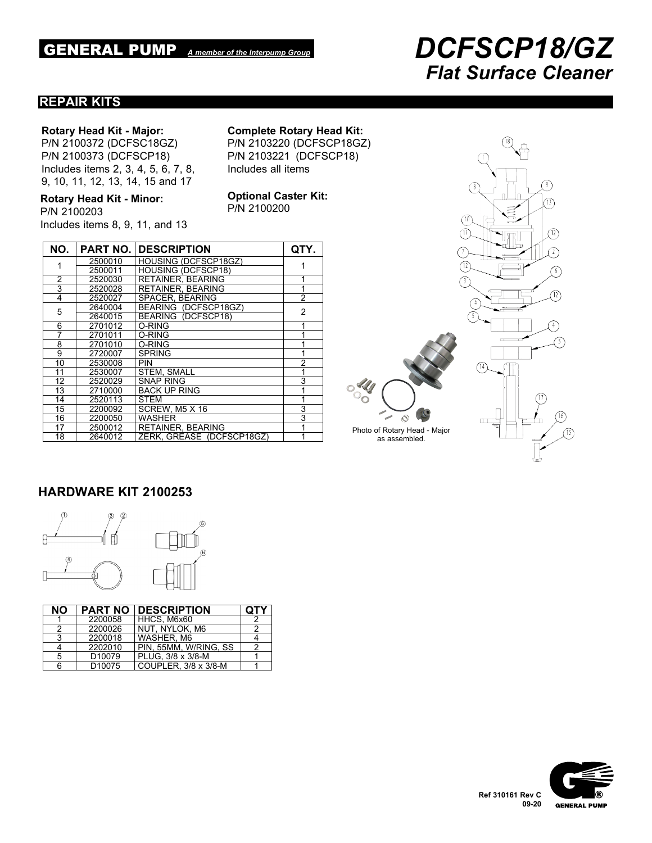# GENERAL PUMP *A member of the Interpump Group DCFSCP18/GZ Flat Surface Cleaner*

#### **REPAIR KITS**

#### **Rotary Head Kit - Major:**

P/N 2100372 (DCFSC18GZ) P/N 2100373 (DCFSCP18) Includes items 2, 3, 4, 5, 6, 7, 8, 9, 10, 11, 12, 13, 14, 15 and 17

**Rotary Head Kit - Minor:** P/N 2100203 Includes items 8, 9, 11, and 13 **Complete Rotary Head Kit:**

P/N 2103220 (DCFSCP18GZ) P/N 2103221 (DCFSCP18) Includes all items

**Optional Caster Kit:** P/N 2100200

| NO.            |         | <b>PART NO. DESCRIPTION</b> | QTY.           |
|----------------|---------|-----------------------------|----------------|
| 1              | 2500010 | <b>HOUSING (DCFSCP18GZ)</b> |                |
|                | 2500011 | <b>HOUSING (DCFSCP18)</b>   |                |
| 2              | 2520030 | <b>RETAINER, BEARING</b>    |                |
| $\overline{3}$ | 2520028 | <b>RETAINER, BEARING</b>    | 1              |
| 4              | 2520027 | SPACER, BEARING             | $\overline{2}$ |
| 5              | 2640004 | BEARING (DCFSCP18GZ)        | 2              |
|                | 2640015 | BEARING (DCFSCP18)          |                |
| 6              | 2701012 | O-RING                      | 1              |
| 7              | 2701011 | O-RING                      | 1              |
| 8              | 2701010 | O-RING                      | 1              |
| 9              | 2720007 | <b>SPRING</b>               | 1              |
| 10             | 2530008 | <b>PIN</b>                  | $\overline{2}$ |
| 11             | 2530007 | <b>STEM. SMALL</b>          | 1              |
| 12             | 2520029 | SNAP RING                   | 3              |
| 13             | 2710000 | <b>BACK UP RING</b>         | 1              |
| 14             | 2520113 | <b>STEM</b>                 | 1              |
| 15             | 2200092 | SCREW, M5 X 16              | 3              |
| 16             | 2200050 | <b>WASHER</b>               | 3              |
| 17             | 2500012 | <b>RETAINER, BEARING</b>    | 1              |
| 18             | 2640012 | ZERK, GREASE (DCFSCP18GZ)   | 1              |



### **HARDWARE KIT 2100253**



| È   |
|-----|
|     |
| $6$ |
|     |

| NΟ |                    | <b>PART NO DESCRIPTION</b> | <b>QTY</b> |
|----|--------------------|----------------------------|------------|
|    | 2200058            | HHCS, M6x60                |            |
|    | 2200026            | I NUT. NYLOK. M6           |            |
| વ  | 2200018            | WASHER, M6                 |            |
|    | 2202010            | PIN, 55MM, W/RING, SS      |            |
| 5  | D <sub>10079</sub> | PLUG, 3/8 x 3/8-M          |            |
| 6  | D <sub>10075</sub> | COUPLER, 3/8 x 3/8-M       |            |